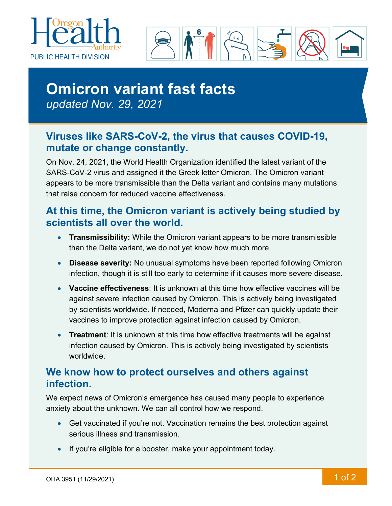



# **Omicron variant fast facts**  *updated Nov. 29, 2021*

## **Viruses like SARS-CoV-2, the virus that causes COVID-19, mutate or change constantly.**

On Nov. 24, 2021, the World Health Organization identified the latest variant of the SARS-CoV-2 virus and assigned it the Greek letter Omicron. The Omicron variant appears to be more transmissible than the Delta variant and contains many mutations that raise concern for reduced vaccine effectiveness.

#### **At this time, the Omicron variant is actively being studied by scientists all over the world.**

- **Transmissibility:** While the Omicron variant appears to be more transmissible than the Delta variant, we do not yet know how much more.
- **Disease severity:** No unusual symptoms have been reported following Omicron infection, though it is still too early to determine if it causes more severe disease.
- **Vaccine effectiveness**: It is unknown at this time how effective vaccines will be against severe infection caused by Omicron. This is actively being investigated by scientists worldwide. If needed, Moderna and Pfizer can quickly update their vaccines to improve protection against infection caused by Omicron.
- **Treatment**: It is unknown at this time how effective treatments will be against infection caused by Omicron. This is actively being investigated by scientists worldwide.

#### **We know how to protect ourselves and others against infection.**

We expect news of Omicron's emergence has caused many people to experience anxiety about the unknown. We can all control how we respond.

- Get vaccinated if you're not. Vaccination remains the best protection against serious illness and transmission.
- If you're eligible for a booster, make your appointment today.